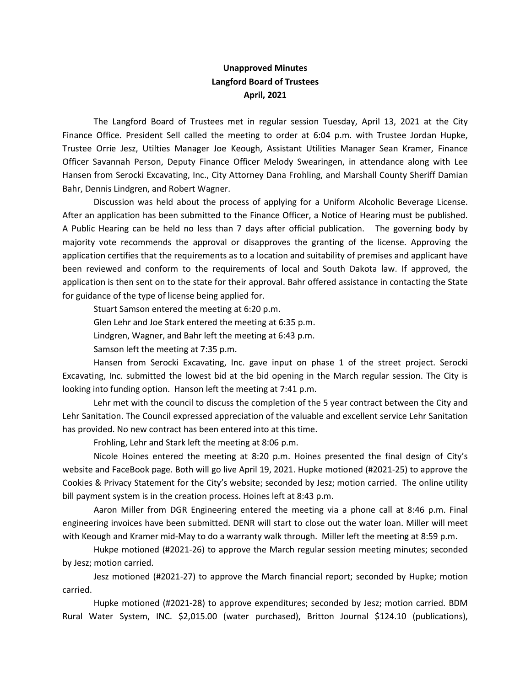## Unapproved Minutes Langford Board of Trustees April, 2021

The Langford Board of Trustees met in regular session Tuesday, April 13, 2021 at the City Finance Office. President Sell called the meeting to order at 6:04 p.m. with Trustee Jordan Hupke, Trustee Orrie Jesz, Utilties Manager Joe Keough, Assistant Utilities Manager Sean Kramer, Finance Officer Savannah Person, Deputy Finance Officer Melody Swearingen, in attendance along with Lee Hansen from Serocki Excavating, Inc., City Attorney Dana Frohling, and Marshall County Sheriff Damian Bahr, Dennis Lindgren, and Robert Wagner.

Discussion was held about the process of applying for a Uniform Alcoholic Beverage License. After an application has been submitted to the Finance Officer, a Notice of Hearing must be published. A Public Hearing can be held no less than 7 days after official publication. The governing body by majority vote recommends the approval or disapproves the granting of the license. Approving the application certifies that the requirements as to a location and suitability of premises and applicant have been reviewed and conform to the requirements of local and South Dakota law. If approved, the application is then sent on to the state for their approval. Bahr offered assistance in contacting the State for guidance of the type of license being applied for.

Stuart Samson entered the meeting at 6:20 p.m.

Glen Lehr and Joe Stark entered the meeting at 6:35 p.m.

Lindgren, Wagner, and Bahr left the meeting at 6:43 p.m.

Samson left the meeting at 7:35 p.m.

Hansen from Serocki Excavating, Inc. gave input on phase 1 of the street project. Serocki Excavating, Inc. submitted the lowest bid at the bid opening in the March regular session. The City is looking into funding option. Hanson left the meeting at 7:41 p.m.

Lehr met with the council to discuss the completion of the 5 year contract between the City and Lehr Sanitation. The Council expressed appreciation of the valuable and excellent service Lehr Sanitation has provided. No new contract has been entered into at this time.

Frohling, Lehr and Stark left the meeting at 8:06 p.m.

Nicole Hoines entered the meeting at 8:20 p.m. Hoines presented the final design of City's website and FaceBook page. Both will go live April 19, 2021. Hupke motioned (#2021-25) to approve the Cookies & Privacy Statement for the City's website; seconded by Jesz; motion carried. The online utility bill payment system is in the creation process. Hoines left at 8:43 p.m.

Aaron Miller from DGR Engineering entered the meeting via a phone call at 8:46 p.m. Final engineering invoices have been submitted. DENR will start to close out the water loan. Miller will meet with Keough and Kramer mid-May to do a warranty walk through. Miller left the meeting at 8:59 p.m.

Hukpe motioned (#2021-26) to approve the March regular session meeting minutes; seconded by Jesz; motion carried.

Jesz motioned (#2021-27) to approve the March financial report; seconded by Hupke; motion carried.

Hupke motioned (#2021-28) to approve expenditures; seconded by Jesz; motion carried. BDM Rural Water System, INC. \$2,015.00 (water purchased), Britton Journal \$124.10 (publications),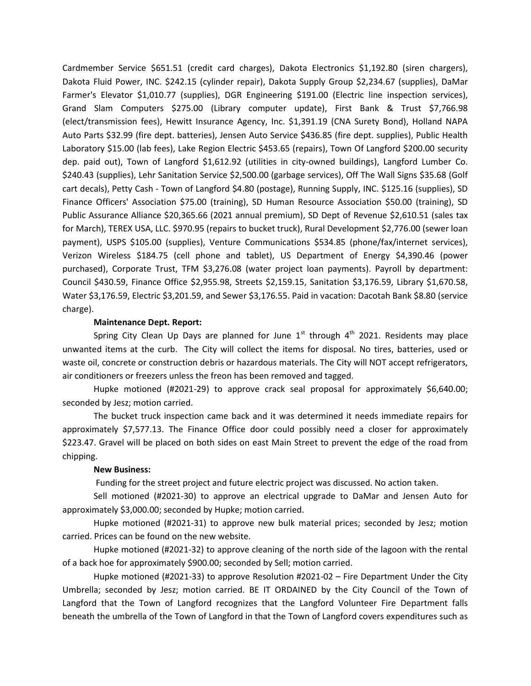Cardmember Service \$651.51 (credit card charges), Dakota Electronics \$1,192.80 (siren chargers), Dakota Fluid Power, INC. \$242.15 (cylinder repair), Dakota Supply Group \$2,234.67 (supplies), DaMar Farmer's Elevator \$1,010.77 (supplies), DGR Engineering \$191.00 (Electric line inspection services), Grand Slam Computers \$275.00 (Library computer update), First Bank & Trust \$7,766.98 (elect/transmission fees), Hewitt Insurance Agency, Inc. \$1,391.19 (CNA Surety Bond), Holland NAPA Auto Parts \$32.99 (fire dept. batteries), Jensen Auto Service \$436.85 (fire dept. supplies), Public Health Laboratory \$15.00 (lab fees), Lake Region Electric \$453.65 (repairs), Town Of Langford \$200.00 security dep. paid out), Town of Langford \$1,612.92 (utilities in city-owned buildings), Langford Lumber Co. \$240.43 (supplies), Lehr Sanitation Service \$2,500.00 (garbage services), Off The Wall Signs \$35.68 (Golf cart decals), Petty Cash - Town of Langford \$4.80 (postage), Running Supply, INC. \$125.16 (supplies), SD Finance Officers' Association \$75.00 (training), SD Human Resource Association \$50.00 (training), SD Public Assurance Alliance \$20,365.66 (2021 annual premium), SD Dept of Revenue \$2,610.51 (sales tax for March), TEREX USA, LLC. \$970.95 (repairs to bucket truck), Rural Development \$2,776.00 (sewer loan payment), USPS \$105.00 (supplies), Venture Communications \$534.85 (phone/fax/internet services), Verizon Wireless \$184.75 (cell phone and tablet), US Department of Energy \$4,390.46 (power purchased), Corporate Trust, TFM \$3,276.08 (water project loan payments). Payroll by department: Council \$430.59, Finance Office \$2,955.98, Streets \$2,159.15, Sanitation \$3,176.59, Library \$1,670.58, Water \$3,176.59, Electric \$3,201.59, and Sewer \$3,176.55. Paid in vacation: Dacotah Bank \$8.80 (service charge).

## Maintenance Dept. Report:

Spring City Clean Up Days are planned for June  $1<sup>st</sup>$  through  $4<sup>th</sup>$  2021. Residents may place unwanted items at the curb. The City will collect the items for disposal. No tires, batteries, used or waste oil, concrete or construction debris or hazardous materials. The City will NOT accept refrigerators, air conditioners or freezers unless the freon has been removed and tagged.

Hupke motioned (#2021-29) to approve crack seal proposal for approximately \$6,640.00; seconded by Jesz; motion carried.

The bucket truck inspection came back and it was determined it needs immediate repairs for approximately \$7,577.13. The Finance Office door could possibly need a closer for approximately \$223.47. Gravel will be placed on both sides on east Main Street to prevent the edge of the road from chipping.

## New Business:

Funding for the street project and future electric project was discussed. No action taken.

Sell motioned (#2021-30) to approve an electrical upgrade to DaMar and Jensen Auto for approximately \$3,000.00; seconded by Hupke; motion carried.

Hupke motioned (#2021-31) to approve new bulk material prices; seconded by Jesz; motion carried. Prices can be found on the new website.

Hupke motioned (#2021-32) to approve cleaning of the north side of the lagoon with the rental of a back hoe for approximately \$900.00; seconded by Sell; motion carried.

Hupke motioned (#2021-33) to approve Resolution #2021-02 – Fire Department Under the City Umbrella; seconded by Jesz; motion carried. BE IT ORDAINED by the City Council of the Town of Langford that the Town of Langford recognizes that the Langford Volunteer Fire Department falls beneath the umbrella of the Town of Langford in that the Town of Langford covers expenditures such as